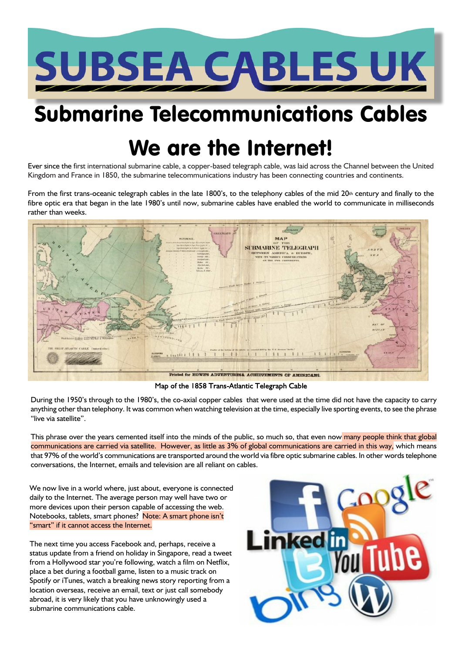

## Submarine Telecommunications Cables

# We are the Internet!

Ever since the first international submarine cable, a copper-based telegraph cable, was laid across the Channel between the United Kingdom and France in 1850, the submarine telecommunications industry has been connecting countries and continents.

From the first trans-oceanic telegraph cables in the late 1800's, to the telephony cables of the mid 20th century and finally to the fibre optic era that began in the late 1980's until now, submarine cables have enabled the world to communicate in milliseconds rather than weeks.



Map of the 1858 Trans-Atlantic Telegraph Cable

During the 1950's through to the 1980's, the co-axial copper cables that were used at the time did not have the capacity to carry anything other than telephony. It was common when watching television at the time, especially live sporting events, to see the phrase "live via satellite".

This phrase over the years cemented itself into the minds of the public, so much so, that even now many people think that global communications are carried via satellite. However, as little as 3% of global communications are carried in this way, which means that 97% of the world's communications are transported around the world via fibre optic submarine cables. In other words telephone conversations, the Internet, emails and television are all reliant on cables.

We now live in a world where, just about, everyone is connected daily to the Internet. The average person may well have two or more devices upon their person capable of accessing the web. Notebooks, tablets, smart phones? Note: A smart phone isn't "smart" if it cannot access the Internet.

The next time you access Facebook and, perhaps, receive a status update from a friend on holiday in Singapore, read a tweet from a Hollywood star you're following, watch a film on Netflix, place a bet during a football game, listen to a music track on Spotify or iTunes, watch a breaking news story reporting from a location overseas, receive an email, text or just call somebody abroad, it is very likely that you have unknowingly used a submarine communications cable.

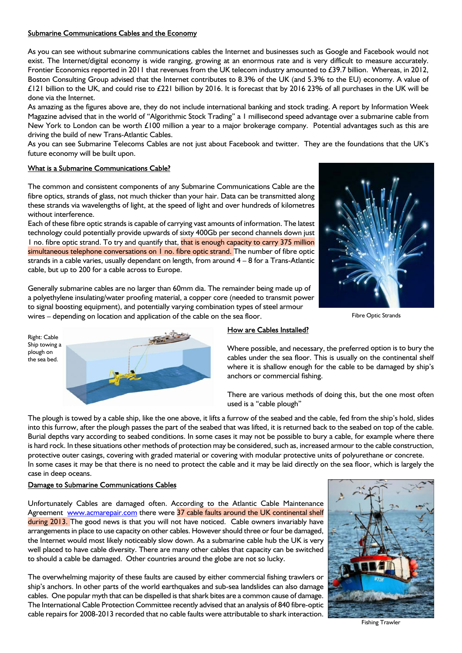## Submarine Communications Cables and the Economy

As you can see without submarine communications cables the Internet and businesses such as Google and Facebook would not exist. The Internet/digital economy is wide ranging, growing at an enormous rate and is very difficult to measure accurately. Frontier Economics reported in 2011 that revenues from the UK telecom industry amounted to £39.7 billion. Whereas, in 2012, Boston Consulting Group advised that the Internet contributes to 8.3% of the UK (and 5.3% to the EU) economy. A value of £121 billion to the UK, and could rise to £221 billion by 2016. It is forecast that by 2016 23% of all purchases in the UK will be done via the Internet.

As amazing as the figures above are, they do not include international banking and stock trading. A report by Information Week Magazine advised that in the world of "Algorithmic Stock Trading" a 1 millisecond speed advantage over a submarine cable from New York to London can be worth £100 million a year to a major brokerage company. Potential advantages such as this are driving the build of new Trans-Atlantic Cables.

As you can see Submarine Telecoms Cables are not just about Facebook and twitter. They are the foundations that the UK's future economy will be built upon.

## What is a Submarine Communications Cable?

The common and consistent components of any Submarine Communications Cable are the fibre optics, strands of glass, not much thicker than your hair. Data can be transmitted along these strands via wavelengths of light, at the speed of light and over hundreds of kilometres without interference.

Each of these fibre optic strands is capable of carrying vast amounts of information. The latest technology could potentially provide upwards of sixty 400Gb per second channels down just 1 no. fibre optic strand. To try and quantify that, that is enough capacity to carry 375 million simultaneous telephone conversations on I no. fibre optic strand. The number of fibre optic strands in a cable varies, usually dependant on length, from around  $4 - 8$  for a Trans-Atlantic cable, but up to 200 for a cable across to Europe.



Fibre Optic Strands

a polyethylene insulating/water proofing material, a copper core (needed to transmit power to signal boosting equipment), and potentially varying combination types of steel armour wires – depending on location and application of the cable on the sea floor.

Generally submarine cables are no larger than 60mm dia. The remainder being made up of

Right: Cable Ship towing a plough on the sea bed.



## How are Cables Installed?

Where possible, and necessary, the preferred option is to bury the cables under the sea floor. This is usually on the continental shelf where it is shallow enough for the cable to be damaged by ship's anchors or commercial fishing.

There are various methods of doing this, but the one most often used is a "cable plough"

The plough is towed by a cable ship, like the one above, it lifts a furrow of the seabed and the cable, fed from the ship's hold, slides into this furrow, after the plough passes the part of the seabed that was lifted, it is returned back to the seabed on top of the cable. Burial depths vary according to seabed conditions. In some cases it may not be possible to bury a cable, for example where there is hard rock. In these situations other methods of protection may be considered, such as, increased armour to the cable construction, protective outer casings, covering with graded material or covering with modular protective units of polyurethane or concrete. In some cases it may be that there is no need to protect the cable and it may be laid directly on the sea floor, which is largely the case in deep oceans.

## Damage to Submarine Communications Cables

Unfortunately Cables are damaged often. According to the Atlantic Cable Maintenance Agreement www.acmarepair.com there were 37 cable faults around the UK continental shelf during 2013. The good news is that you will not have noticed. Cable owners invariably have arrangements in place to use capacity on other cables. However should three or four be damaged, the Internet would most likely noticeably slow down. As a submarine cable hub the UK is very well placed to have cable diversity. There are many other cables that capacity can be switched to should a cable be damaged. Other countries around the globe are not so lucky.

The overwhelming majority of these faults are caused by either commercial fishing trawlers or ship's anchors. In other parts of the world earthquakes and sub-sea landslides can also damage cables. One popular myth that can be dispelled is that shark bites are a common cause of damage. The International Cable Protection Committee recently advised that an analysis of 840 fibre-optic cable repairs for 2008-2013 recorded that no cable faults were attributable to shark interaction.



Fishing Trawler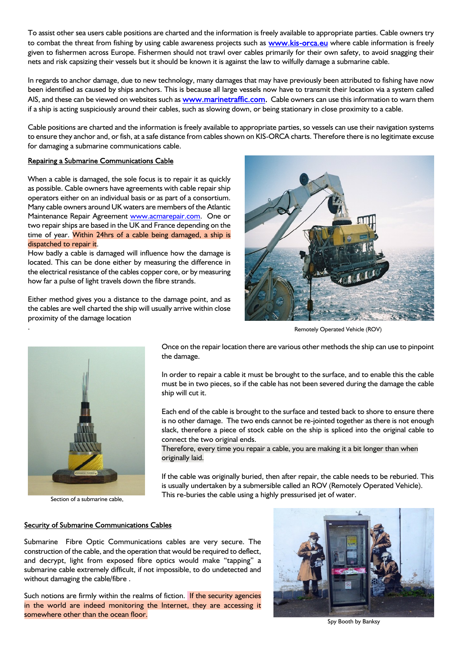To assist other sea users cable positions are charted and the information is freely available to appropriate parties. Cable owners try to combat the threat from fishing by using cable awareness projects such as www.kis-orca.eu where cable information is freely given to fishermen across Europe. Fishermen should not trawl over cables primarily for their own safety, to avoid snagging their nets and risk capsizing their vessels but it should be known it is against the law to wilfully damage a submarine cable.

In regards to anchor damage, due to new technology, many damages that may have previously been attributed to fishing have now been identified as caused by ships anchors. This is because all large vessels now have to transmit their location via a system called AIS, and these can be viewed on websites such as www.marinetraffic.com. Cable owners can use this information to warn them if a ship is acting suspiciously around their cables, such as slowing down, or being stationary in close proximity to a cable.

Cable positions are charted and the information is freely available to appropriate parties, so vessels can use their navigation systems to ensure they anchor and, or fish, at a safe distance from cables shown on KIS-ORCA charts. Therefore there is no legitimate excuse for damaging a submarine communications cable.

#### Repairing a Submarine Communications Cable

When a cable is damaged, the sole focus is to repair it as quickly as possible. Cable owners have agreements with cable repair ship operators either on an individual basis or as part of a consortium. Many cable owners around UK waters are members of the Atlantic Maintenance Repair Agreement www.acmarepair.com. One or two repair ships are based in the UK and France depending on the time of year. Within 24hrs of a cable being damaged, a ship is dispatched to repair it.

How badly a cable is damaged will influence how the damage is located. This can be done either by measuring the difference in the electrical resistance of the cables copper core, or by measuring how far a pulse of light travels down the fibre strands.

Either method gives you a distance to the damage point, and as the cables are well charted the ship will usually arrive within close proximity of the damage location



. Remotely Operated Vehicle (ROV)



Once on the repair location there are various other methods the ship can use to pinpoint the damage.

In order to repair a cable it must be brought to the surface, and to enable this the cable must be in two pieces, so if the cable has not been severed during the damage the cable ship will cut it.

Each end of the cable is brought to the surface and tested back to shore to ensure there is no other damage. The two ends cannot be re-jointed together as there is not enough slack, therefore a piece of stock cable on the ship is spliced into the original cable to connect the two original ends.

Therefore, every time you repair a cable, you are making it a bit longer than when originally laid.

If the cable was originally buried, then after repair, the cable needs to be reburied. This is usually undertaken by a submersible called an ROV (Remotely Operated Vehicle). This re-buries the cable using a highly pressurised jet of water.

### Security of Submarine Communications Cables

Submarine Fibre Optic Communications cables are very secure. The construction of the cable, and the operation that would be required to deflect, and decrypt, light from exposed fibre optics would make "tapping" a submarine cable extremely difficult, if not impossible, to do undetected and without damaging the cable/fibre .

Such notions are firmly within the realms of fiction. If the security agencies in the world are indeed monitoring the Internet, they are accessing it somewhere other than the ocean floor.



Spy Booth by Banksy